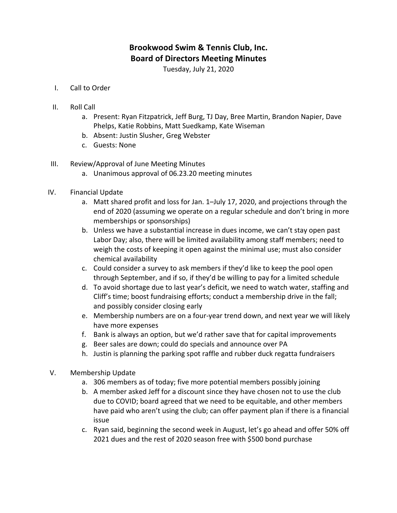## **Brookwood Swim & Tennis Club, Inc. Board of Directors Meeting Minutes**

Tuesday, July 21, 2020

- I. Call to Order
- II. Roll Call
	- a. Present: Ryan Fitzpatrick, Jeff Burg, TJ Day, Bree Martin, Brandon Napier, Dave Phelps, Katie Robbins, Matt Suedkamp, Kate Wiseman
	- b. Absent: Justin Slusher, Greg Webster
	- c. Guests: None
- III. Review/Approval of June Meeting Minutes
	- a. Unanimous approval of 06.23.20 meeting minutes
- IV. Financial Update
	- a. Matt shared profit and loss for Jan. 1–July 17, 2020, and projections through the end of 2020 (assuming we operate on a regular schedule and don't bring in more memberships or sponsorships)
	- b. Unless we have a substantial increase in dues income, we can't stay open past Labor Day; also, there will be limited availability among staff members; need to weigh the costs of keeping it open against the minimal use; must also consider chemical availability
	- c. Could consider a survey to ask members if they'd like to keep the pool open through September, and if so, if they'd be willing to pay for a limited schedule
	- d. To avoid shortage due to last year's deficit, we need to watch water, staffing and Cliff's time; boost fundraising efforts; conduct a membership drive in the fall; and possibly consider closing early
	- e. Membership numbers are on a four-year trend down, and next year we will likely have more expenses
	- f. Bank is always an option, but we'd rather save that for capital improvements
	- g. Beer sales are down; could do specials and announce over PA
	- h. Justin is planning the parking spot raffle and rubber duck regatta fundraisers
- V. Membership Update
	- a. 306 members as of today; five more potential members possibly joining
	- b. A member asked Jeff for a discount since they have chosen not to use the club due to COVID; board agreed that we need to be equitable, and other members have paid who aren't using the club; can offer payment plan if there is a financial issue
	- c. Ryan said, beginning the second week in August, let's go ahead and offer 50% off 2021 dues and the rest of 2020 season free with \$500 bond purchase